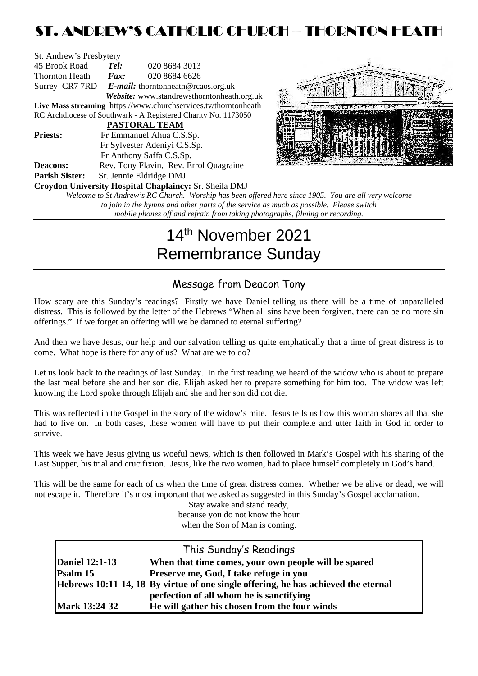## ST. ANDREW'S CATHOLIC CHURCH – THORNTON HEATH

| St. Andrew's Presbytery |                              |                                                                 |  |  |
|-------------------------|------------------------------|-----------------------------------------------------------------|--|--|
| 45 Brook Road           | Tel:                         | 020 8684 3013                                                   |  |  |
| Thornton Heath          | $\boldsymbol{F}$ <i>ax</i> : | 020 8684 6626                                                   |  |  |
|                         |                              | Surrey CR7 7RD E-mail: thorntonheath@rcaos.org.uk               |  |  |
|                         |                              | Website: www.standrewsthorntonheath.org.uk                      |  |  |
|                         |                              | Live Mass streaming https://www.churchservices.tv/thorntonheath |  |  |
|                         |                              | RC Archdiocese of Southwark - A Registered Charity No. 1173050  |  |  |
|                         |                              | <b>PASTORAL TEAM</b>                                            |  |  |
| <b>Priests:</b>         | Fr Emmanuel Ahua C.S.Sp.     |                                                                 |  |  |
|                         |                              | Fr Sylvester Adeniyi C.S.Sp.                                    |  |  |
|                         |                              | Fr Anthony Saffa C.S.Sp.                                        |  |  |
| <b>Deacons:</b>         |                              | Rev. Tony Flavin, Rev. Errol Quagraine                          |  |  |
| <b>Parish Sister:</b>   | Sr. Jennie Eldridge DMJ      |                                                                 |  |  |
|                         |                              | Croydon University Hospital Chaplaincy: Sr. Sheila DMJ          |  |  |
|                         |                              | Welcome to St Andrew's RC Church. Worship has been offered      |  |  |



*here since 1905. You are all very welcome to join in the hymns and other parts of the service as much as possible. Please switch mobile phones off and refrain from taking photographs, filming or recording.*

# 14th November 2021 Remembrance Sunday

## Message from Deacon Tony

How scary are this Sunday's readings? Firstly we have Daniel telling us there will be a time of unparalleled distress. This is followed by the letter of the Hebrews "When all sins have been forgiven, there can be no more sin offerings." If we forget an offering will we be damned to eternal suffering?

And then we have Jesus, our help and our salvation telling us quite emphatically that a time of great distress is to come. What hope is there for any of us? What are we to do?

Let us look back to the readings of last Sunday. In the first reading we heard of the widow who is about to prepare the last meal before she and her son die. Elijah asked her to prepare something for him too. The widow was left knowing the Lord spoke through Elijah and she and her son did not die.

This was reflected in the Gospel in the story of the widow's mite. Jesus tells us how this woman shares all that she had to live on. In both cases, these women will have to put their complete and utter faith in God in order to survive.

This week we have Jesus giving us woeful news, which is then followed in Mark's Gospel with his sharing of the Last Supper, his trial and crucifixion. Jesus, like the two women, had to place himself completely in God's hand.

This will be the same for each of us when the time of great distress comes. Whether we be alive or dead, we will not escape it. Therefore it's most important that we asked as suggested in this Sunday's Gospel acclamation.

Stay awake and stand ready, because you do not know the hour when the Son of Man is coming.

| This Sunday's Readings |                                                                                    |  |  |  |
|------------------------|------------------------------------------------------------------------------------|--|--|--|
| <b>Daniel 12:1-13</b>  | When that time comes, your own people will be spared                               |  |  |  |
| Psalm 15               | Preserve me, God, I take refuge in you                                             |  |  |  |
|                        | Hebrews 10:11-14, 18 By virtue of one single offering, he has achieved the eternal |  |  |  |
|                        | perfection of all whom he is sanctifying                                           |  |  |  |
| <b>Mark 13:24-32</b>   | He will gather his chosen from the four winds                                      |  |  |  |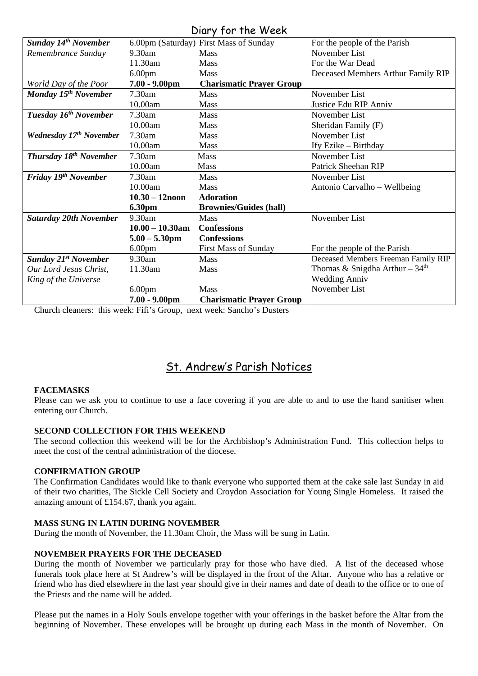### Diary for the Week

|                                          |                    | $5.21$ $1.51$ $1.15$ $1.75$            |                                     |
|------------------------------------------|--------------------|----------------------------------------|-------------------------------------|
| <b>Sunday 14th November</b>              |                    | 6.00pm (Saturday) First Mass of Sunday | For the people of the Parish        |
| Remembrance Sunday                       | 9.30am             | <b>Mass</b>                            | November List                       |
|                                          | 11.30am            | <b>Mass</b>                            | For the War Dead                    |
|                                          | 6.00 <sub>pm</sub> | Mass                                   | Deceased Members Arthur Family RIP  |
| World Day of the Poor                    | $7.00 - 9.00$ pm   | <b>Charismatic Prayer Group</b>        |                                     |
| Monday 15 <sup>th</sup> November         | 7.30am             | <b>Mass</b>                            | November List                       |
|                                          | 10.00am            | <b>Mass</b>                            | Justice Edu RIP Anniv               |
| Tuesday 16 <sup>th</sup> November        | 7.30am             | <b>Mass</b>                            | November List                       |
|                                          | 10.00am            | <b>Mass</b>                            | Sheridan Family (F)                 |
| Wednesday 17th November                  | 7.30am             | Mass                                   | November List                       |
|                                          | 10.00am            | Mass                                   | Ify Ezike - Birthday                |
| <b>Thursday 18<sup>th</sup> November</b> | 7.30am             | <b>Mass</b>                            | November List                       |
|                                          | 10.00am            | <b>Mass</b>                            | Patrick Sheehan RIP                 |
| Friday 19 <sup>th</sup> November         | 7.30am             | <b>Mass</b>                            | November List                       |
|                                          | 10.00am            | <b>Mass</b>                            | Antonio Carvalho - Wellbeing        |
|                                          | $10.30 - 12$ noon  | <b>Adoration</b>                       |                                     |
|                                          | <b>6.30pm</b>      | <b>Brownies/Guides (hall)</b>          |                                     |
| <b>Saturday 20th November</b>            | 9.30am             | <b>Mass</b>                            | November List                       |
|                                          | $10.00 - 10.30$ am | <b>Confessions</b>                     |                                     |
|                                          | $5.00 - 5.30$ pm   | <b>Confessions</b>                     |                                     |
|                                          | 6.00 <sub>pm</sub> | <b>First Mass of Sunday</b>            | For the people of the Parish        |
| <b>Sunday 21st November</b>              | 9.30am             | <b>Mass</b>                            | Deceased Members Freeman Family RIP |
| Our Lord Jesus Christ,                   | 11.30am            | <b>Mass</b>                            | Thomas & Snigdha Arthur - $34th$    |
| King of the Universe                     |                    |                                        | <b>Wedding Anniv</b>                |
|                                          | 6.00 <sub>pm</sub> | Mass                                   | November List                       |
|                                          | $7.00 - 9.00$ pm   | <b>Charismatic Prayer Group</b>        |                                     |

Church cleaners: this week: Fifi's Group, next week: Sancho's Dusters

## St. Andrew's Parish Notices

#### **FACEMASKS**

Please can we ask you to continue to use a face covering if you are able to and to use the hand sanitiser when entering our Church.

#### **SECOND COLLECTION FOR THIS WEEKEND**

The second collection this weekend will be for the Archbishop's Administration Fund. This collection helps to meet the cost of the central administration of the diocese.

#### **CONFIRMATION GROUP**

The Confirmation Candidates would like to thank everyone who supported them at the cake sale last Sunday in aid of their two charities, The Sickle Cell Society and Croydon Association for Young Single Homeless. It raised the amazing amount of £154.67, thank you again.

#### **MASS SUNG IN LATIN DURING NOVEMBER**

During the month of November, the 11.30am Choir, the Mass will be sung in Latin.

#### **NOVEMBER PRAYERS FOR THE DECEASED**

During the month of November we particularly pray for those who have died. A list of the deceased whose funerals took place here at St Andrew's will be displayed in the front of the Altar. Anyone who has a relative or friend who has died elsewhere in the last year should give in their names and date of death to the office or to one of the Priests and the name will be added.

Please put the names in a Holy Souls envelope together with your offerings in the basket before the Altar from the beginning of November. These envelopes will be brought up during each Mass in the month of November. On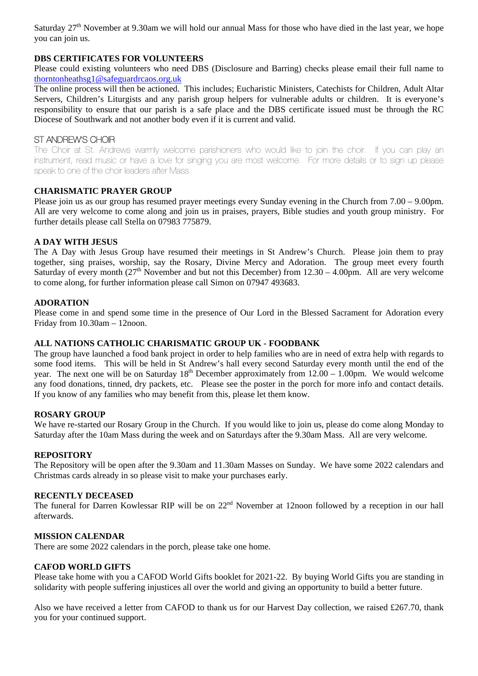Saturday 27<sup>th</sup> November at 9.30am we will hold our annual Mass for those who have died in the last year, we hope you can join us.

#### **DBS CERTIFICATES FOR VOLUNTEERS**

Please could existing volunteers who need DBS (Disclosure and Barring) checks please email their full name to [thorntonheathsg1@safeguardrcaos.org.uk](mailto:thorntonheathsg1@safeguardrcaos.org.uk)

The online process will then be actioned. This includes; Eucharistic Ministers, Catechists for Children, Adult Altar Servers, Children's Liturgists and any parish group helpers for vulnerable adults or children. It is everyone's responsibility to ensure that our parish is a safe place and the DBS certificate issued must be through the RC Diocese of Southwark and not another body even if it is current and valid.

#### ST ANDREW'S CHOIR

The Choir at St. Andrews warmly welcome parishioners who would like to join the choir. If you can play an instrument, read music or have a love for singing you are most welcome. For more details or to sign up please speak to one of the choir leaders after Mass.

#### **CHARISMATIC PRAYER GROUP**

Please join us as our group has resumed prayer meetings every Sunday evening in the Church from 7.00 – 9.00pm. All are very welcome to come along and join us in praises, prayers, Bible studies and youth group ministry. For further details please call Stella on 07983 775879.

#### **A DAY WITH JESUS**

The A Day with Jesus Group have resumed their meetings in St Andrew's Church. Please join them to pray together, sing praises, worship, say the Rosary, Divine Mercy and Adoration. The group meet every fourth Saturday of every month  $(27<sup>th</sup>$  November and but not this December) from  $12.30 - 4.00$ pm. All are very welcome to come along, for further information please call Simon on 07947 493683.

#### **ADORATION**

Please come in and spend some time in the presence of Our Lord in the Blessed Sacrament for Adoration every Friday from 10.30am – 12noon.

#### **ALL NATIONS CATHOLIC CHARISMATIC GROUP UK - FOODBANK**

The group have launched a food bank project in order to help families who are in need of extra help with regards to some food items. This will be held in St Andrew's hall every second Saturday every month until the end of the year. The next one will be on Saturday  $18<sup>th</sup>$  December approximately from  $12.00 - 1.00$ pm. We would welcome any food donations, tinned, dry packets, etc. Please see the poster in the porch for more info and contact details. If you know of any families who may benefit from this, please let them know.

#### **ROSARY GROUP**

We have re-started our Rosary Group in the Church. If you would like to join us, please do come along Monday to Saturday after the 10am Mass during the week and on Saturdays after the 9.30am Mass. All are very welcome.

#### **REPOSITORY**

The Repository will be open after the 9.30am and 11.30am Masses on Sunday. We have some 2022 calendars and Christmas cards already in so please visit to make your purchases early.

#### **RECENTLY DECEASED**

The funeral for Darren Kowlessar RIP will be on 22<sup>nd</sup> November at 12noon followed by a reception in our hall afterwards.

#### **MISSION CALENDAR**

There are some 2022 calendars in the porch, please take one home.

#### **CAFOD WORLD GIFTS**

Please take home with you a CAFOD World Gifts booklet for 2021-22. By buying World Gifts you are standing in solidarity with people suffering injustices all over the world and giving an opportunity to build a better future.

Also we have received a letter from CAFOD to thank us for our Harvest Day collection, we raised £267.70, thank you for your continued support.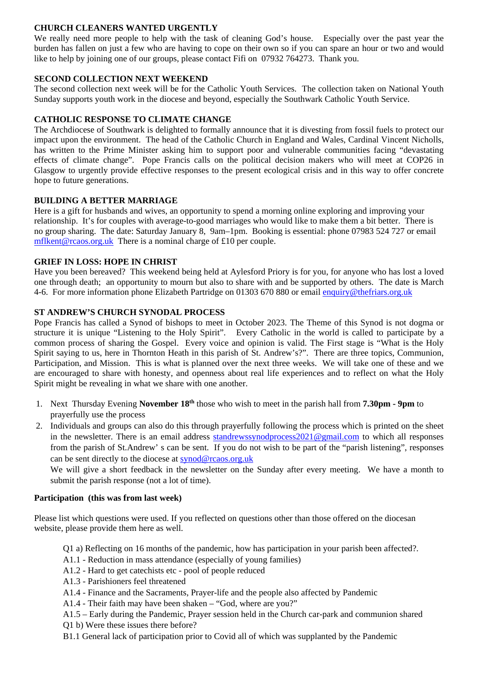#### **CHURCH CLEANERS WANTED URGENTLY**

We really need more people to help with the task of cleaning God's house. Especially over the past year the burden has fallen on just a few who are having to cope on their own so if you can spare an hour or two and would like to help by joining one of our groups, please contact Fifi on 07932 764273. Thank you.

#### **SECOND COLLECTION NEXT WEEKEND**

The second collection next week will be for the Catholic Youth Services. The collection taken on National Youth Sunday supports youth work in the diocese and beyond, especially the Southwark Catholic Youth Service.

#### **CATHOLIC RESPONSE TO CLIMATE CHANGE**

The Archdiocese of Southwark is delighted to formally announce that it is divesting from fossil fuels to protect our impact upon the environment. The head of the Catholic Church in England and Wales, Cardinal Vincent Nicholls, has written to the Prime Minister asking him to support poor and vulnerable communities facing "devastating effects of climate change". Pope Francis calls on the political decision makers who will meet at COP26 in Glasgow to urgently provide effective responses to the present ecological crisis and in this way to offer concrete hope to future generations.

#### **BUILDING A BETTER MARRIAGE**

Here is a gift for husbands and wives, an opportunity to spend a morning online exploring and improving your relationship. It's for couples with average-to-good marriages who would like to make them a bit better. There is no group sharing. The date: Saturday January 8, 9am–1pm. Booking is essential: phone 07983 524 727 or email [mflkent@rcaos.org.uk](mailto:mflkent@rcaos.org.uk) There is a nominal charge of £10 per couple.

#### **GRIEF IN LOSS: HOPE IN CHRIST**

Have you been bereaved? This weekend being held at Aylesford Priory is for you, for anyone who has lost a loved one through death; an opportunity to mourn but also to share with and be supported by others. The date is March 4-6. For more information phone Elizabeth Partridge on 01303 670 880 or email [enquiry@thefriars.org.uk](mailto:enquiry@thefriars.org.uk)

#### **ST ANDREW'S CHURCH SYNODAL PROCESS**

Pope Francis has called a Synod of bishops to meet in October 2023. The Theme of this Synod is not dogma or structure it is unique "Listening to the Holy Spirit". Every Catholic in the world is called to participate by a common process of sharing the Gospel. Every voice and opinion is valid. The First stage is "What is the Holy Spirit saying to us, here in Thornton Heath in this parish of St. Andrew's?". There are three topics, Communion, Participation, and Mission. This is what is planned over the next three weeks. We will take one of these and we are encouraged to share with honesty, and openness about real life experiences and to reflect on what the Holy Spirit might be revealing in what we share with one another.

- 1. Next Thursday Evening **November 18th** those who wish to meet in the parish hall from **7.30pm - 9pm** to prayerfully use the process
- 2. Individuals and groups can also do this through prayerfully following the process which is printed on the sheet in the newsletter. There is an email address standrewssynodprocess  $2021$  @gmail.com to which all responses from the parish of St.Andrew' s can be sent. If you do not wish to be part of the "parish listening", responses can be sent directly to the diocese at [synod@rcaos.org.uk](mailto:synod@rcaos.org.uk)

We will give a short feedback in the newsletter on the Sunday after every meeting. We have a month to submit the parish response (not a lot of time).

#### **Participation (this was from last week)**

Please list which questions were used. If you reflected on questions other than those offered on the diocesan website, please provide them here as well.

- Q1 a) Reflecting on 16 months of the pandemic, how has participation in your parish been affected?.
- A1.1 Reduction in mass attendance (especially of young families)
- A1.2 Hard to get catechists etc pool of people reduced
- A1.3 Parishioners feel threatened
- A1.4 Finance and the Sacraments, Prayer-life and the people also affected by Pandemic
- A1.4 Their faith may have been shaken "God, where are you?"
- A1.5 Early during the Pandemic, Prayer session held in the Church car-park and communion shared
- Q1 b) Were these issues there before?
- B1.1 General lack of participation prior to Covid all of which was supplanted by the Pandemic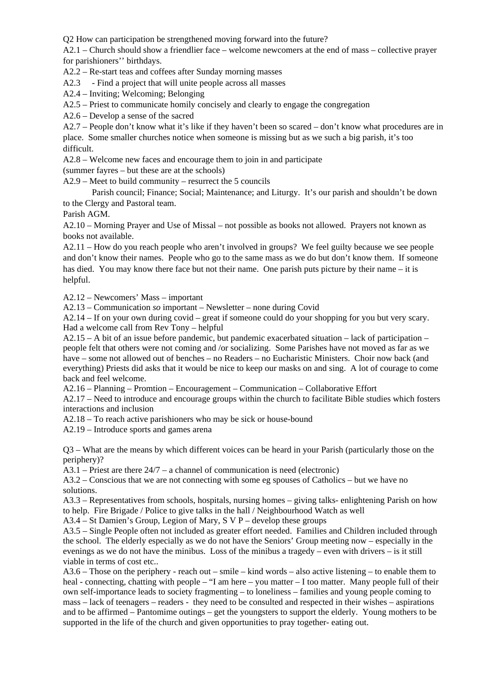Q2 How can participation be strengthened moving forward into the future?

A2.1 – Church should show a friendlier face – welcome newcomers at the end of mass – collective prayer for parishioners'' birthdays.

A2.2 – Re-start teas and coffees after Sunday morning masses

A2.3 - Find a project that will unite people across all masses

A2.4 – Inviting; Welcoming; Belonging

A2.5 – Priest to communicate homily concisely and clearly to engage the congregation

A2.6 – Develop a sense of the sacred

A2.7 – People don't know what it's like if they haven't been so scared – don't know what procedures are in

place. Some smaller churches notice when someone is missing but as we such a big parish, it's too difficult.

A2.8 – Welcome new faces and encourage them to join in and participate

(summer fayres – but these are at the schools)

A2.9 – Meet to build community – resurrect the 5 councils

Parish council; Finance; Social; Maintenance; and Liturgy. It's our parish and shouldn't be down to the Clergy and Pastoral team.

Parish AGM.

A2.10 – Morning Prayer and Use of Missal – not possible as books not allowed. Prayers not known as books not available.

A2.11 – How do you reach people who aren't involved in groups? We feel guilty because we see people and don't know their names. People who go to the same mass as we do but don't know them. If someone has died. You may know there face but not their name. One parish puts picture by their name – it is helpful.

A2.12 – Newcomers' Mass – important

A2.13 – Communication *so* important – Newsletter – none during Covid

A2.14 – If on your own during covid – great if someone could do your shopping for you but very scary. Had a welcome call from Rev Tony – helpful

A2.15 – A bit of an issue before pandemic, but pandemic exacerbated situation – lack of participation – people felt that others were not coming and /or socializing. Some Parishes have not moved as far as we have – some not allowed out of benches – no Readers – no Eucharistic Ministers. Choir now back (and everything) Priests did asks that it would be nice to keep our masks on and sing. A lot of courage to come back and feel welcome.

A2.16 – Planning – Promtion – Encouragement – Communication – Collaborative Effort

A2.17 – Need to introduce and encourage groups within the church to facilitate Bible studies which fosters interactions and inclusion

A2.18 – To reach active parishioners who may be sick or house-bound

A2.19 – Introduce sports and games arena

Q3 – What are the means by which different voices can be heard in your Parish (particularly those on the periphery)?

A3.1 – Priest are there 24/7 – a channel of communication is need (electronic)

A3.2 – Conscious that we are not connecting with some eg spouses of Catholics – but we have no solutions.

A3.3 – Representatives from schools, hospitals, nursing homes – giving talks- enlightening Parish on how to help. Fire Brigade / Police to give talks in the hall / Neighbourhood Watch as well

A3.4 – St Damien's Group, Legion of Mary, S V P – develop these groups

A3.5 – Single People often not included as greater effort needed. Families and Children included through the school. The elderly especially as we do not have the Seniors' Group meeting now – especially in the evenings as we do not have the minibus. Loss of the minibus a tragedy – even with drivers – is it still viable in terms of cost etc..

A3.6 – Those on the periphery - reach out – smile – kind words – also active listening – to enable them to heal - connecting, chatting with people – "I am here – you matter – I too matter. Many people full of their own self-importance leads to society fragmenting – to loneliness – families and young people coming to mass – lack of teenagers – readers - they need to be consulted and respected in their wishes – aspirations and to be affirmed – Pantomime outings – get the youngsters to support the elderly. Young mothers to be supported in the life of the church and given opportunities to pray together- eating out.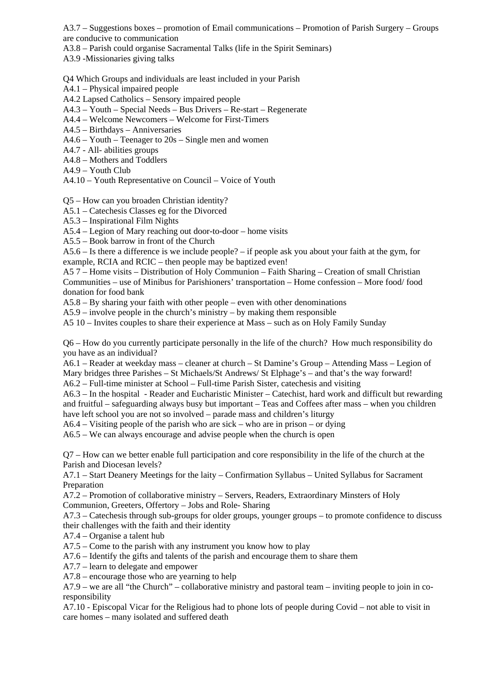A3.7 – Suggestions boxes – promotion of Email communications – Promotion of Parish Surgery – Groups are conducive to communication

A3.8 – Parish could organise Sacramental Talks (life in the Spirit Seminars)

A3.9 -Missionaries giving talks

Q4 Which Groups and individuals are least included in your Parish

A4.1 – Physical impaired people

A4.2 Lapsed Catholics – Sensory impaired people

A4.3 – Youth – Special Needs – Bus Drivers – Re-start – Regenerate

A4.4 – Welcome Newcomers – Welcome for First-Timers

A4.5 – Birthdays – Anniversaries

- A4.6 Youth Teenager to 20s Single men and women
- A4.7 All- abilities groups

A4.8 – Mothers and Toddlers

A4.9 – Youth Club

A4.10 – Youth Representative on Council – Voice of Youth

Q5 – How can you broaden Christian identity?

A5.1 – Catechesis Classes eg for the Divorced

A5.3 – Inspirational Film Nights

A5.4 – Legion of Mary reaching out door-to-door – home visits

A5.5 – Book barrow in front of the Church

A5.6 – Is there a difference is we include people? – if people ask you about your faith at the gym, for example, RCIA and RCIC – then people may be baptized even!

A5 7 – Home visits – Distribution of Holy Communion – Faith Sharing – Creation of small Christian Communities – use of Minibus for Parishioners' transportation – Home confession – More food/ food donation for food bank

A5.8 – By sharing your faith with other people – even with other denominations

A5.9 – involve people in the church's ministry – by making them responsible

A5 10 – Invites couples to share their experience at Mass – such as on Holy Family Sunday

Q6 – How do you currently participate personally in the life of the church? How much responsibility do you have as an individual?

A6.1 – Reader at weekday mass – cleaner at church – St Damine's Group – Attending Mass – Legion of Mary bridges three Parishes – St Michaels/St Andrews/ St Elphage's – and that's the way forward!

A6.2 – Full-time minister at School – Full-time Parish Sister, catechesis and visiting

A6.3 – In the hospital - Reader and Eucharistic Minister – Catechist, hard work and difficult but rewarding and fruitful – safeguarding always busy but important – Teas and Coffees after mass – when you children have left school you are not so involved – parade mass and children's liturgy

A6.4 – Visiting people of the parish who are sick – who are in prison – or dying

A6.5 – We can always encourage and advise people when the church is open

Q7 – How can we better enable full participation and core responsibility in the life of the church at the Parish and Diocesan levels?

A7.1 – Start Deanery Meetings for the laity – Confirmation Syllabus – United Syllabus for Sacrament Preparation

A7.2 – Promotion of collaborative ministry – Servers, Readers, Extraordinary Minsters of Holy Communion, Greeters, Offertory – Jobs and Role- Sharing

A7.3 – Catechesis through sub-groups for older groups, younger groups – to promote confidence to discuss their challenges with the faith and their identity

A7.4 – Organise a talent hub

A7.5 – Come to the parish with any instrument you know how to play

A7.6 – Identify the gifts and talents of the parish and encourage them to share them

A7.7 – learn to delegate and empower

A7.8 – encourage those who are yearning to help

A7.9 – we are all "the Church" – collaborative ministry and pastoral team – inviting people to join in coresponsibility

A7.10 - Episcopal Vicar for the Religious had to phone lots of people during Covid – not able to visit in care homes – many isolated and suffered death